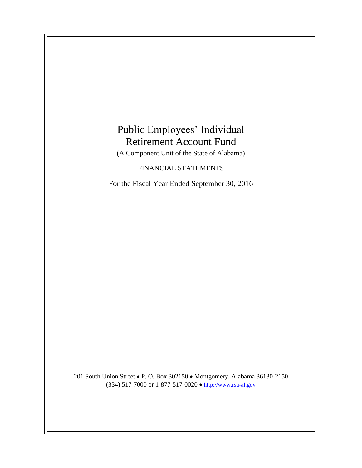# Public Employees' Individual Retirement Account Fund

(A Component Unit of the State of Alabama)

## FINANCIAL STATEMENTS

For the Fiscal Year Ended September 30, 2016

201 South Union Street • P. O. Box 302150 • Montgomery, Alabama 36130-2150 (334) 517-7000 or 1-877-517-0020  $\bullet$  [http://www.rsa-al.gov](http://www.rsa.state.al.us/)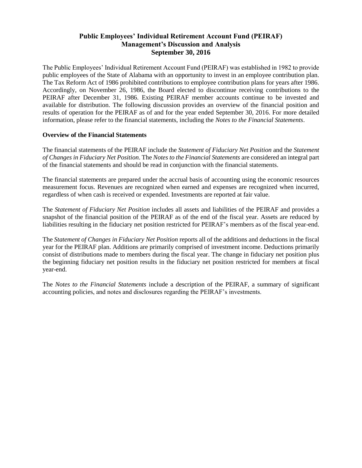## **Public Employees' Individual Retirement Account Fund (PEIRAF) Management's Discussion and Analysis September 30, 2016**

The Public Employees' Individual Retirement Account Fund (PEIRAF) was established in 1982 to provide public employees of the State of Alabama with an opportunity to invest in an employee contribution plan. The Tax Reform Act of 1986 prohibited contributions to employee contribution plans for years after 1986. Accordingly, on November 26, 1986, the Board elected to discontinue receiving contributions to the PEIRAF after December 31, 1986. Existing PEIRAF member accounts continue to be invested and available for distribution. The following discussion provides an overview of the financial position and results of operation for the PEIRAF as of and for the year ended September 30, 2016. For more detailed information, please refer to the financial statements, including the *Notes to the Financial Statements*.

## **Overview of the Financial Statements**

The financial statements of the PEIRAF include the *Statement of Fiduciary Net Position* and the *Statement of Changes in Fiduciary Net Position*. The *Notes to the Financial Statements* are considered an integral part of the financial statements and should be read in conjunction with the financial statements.

The financial statements are prepared under the accrual basis of accounting using the economic resources measurement focus. Revenues are recognized when earned and expenses are recognized when incurred, regardless of when cash is received or expended. Investments are reported at fair value.

The *Statement of Fiduciary Net Position* includes all assets and liabilities of the PEIRAF and provides a snapshot of the financial position of the PEIRAF as of the end of the fiscal year. Assets are reduced by liabilities resulting in the fiduciary net position restricted for PEIRAF's members as of the fiscal year-end.

The *Statement of Changes in Fiduciary Net Position* reports all of the additions and deductions in the fiscal year for the PEIRAF plan. Additions are primarily comprised of investment income. Deductions primarily consist of distributions made to members during the fiscal year. The change in fiduciary net position plus the beginning fiduciary net position results in the fiduciary net position restricted for members at fiscal year-end.

The *Notes to the Financial Statements* include a description of the PEIRAF, a summary of significant accounting policies, and notes and disclosures regarding the PEIRAF's investments.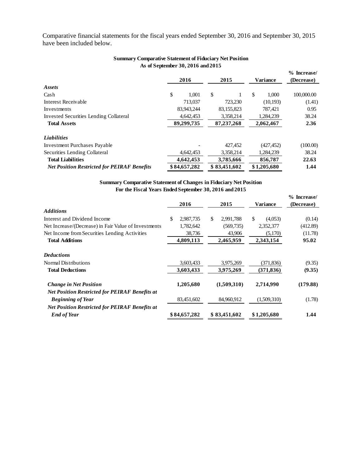Comparative financial statements for the fiscal years ended September 30, 2016 and September 30, 2015 have been included below.

| <b>Summary Comparative Statement of Fiduciary Net Position</b> | As of September 30, 2016 and 2015 |              |             |                             |
|----------------------------------------------------------------|-----------------------------------|--------------|-------------|-----------------------------|
|                                                                | 2016                              | 2015         | Variance    | $%$ Increase/<br>(Decrease) |
| <b>Assets</b>                                                  |                                   |              |             |                             |
| Cash                                                           | \$<br>1,001                       | \$           | \$<br>1,000 | 100,000.00                  |
| <b>Interest Receivable</b>                                     | 713,037                           | 723,230      | (10, 193)   | (1.41)                      |
| Investments                                                    | 83,943,244                        | 83,155,823   | 787.421     | 0.95                        |
| <b>Invested Securities Lending Collateral</b>                  | 4,642,453                         | 3,358,214    | 1,284,239   | 38.24                       |
| <b>Total Assets</b>                                            | 89,299,735                        | 87, 237, 268 | 2,062,467   | 2.36                        |
| <b>Liabilities</b>                                             |                                   |              |             |                             |
| <b>Investment Purchases Payable</b>                            |                                   | 427,452      | (427, 452)  | (100.00)                    |
| Securities Lending Collateral                                  | 4,642,453                         | 3,358,214    | 1,284,239   | 38.24                       |
| <b>Total Liabilities</b>                                       | 4,642,453                         | 3,785,666    | 856,787     | 22.63                       |
| <b>Net Position Restricted for PEIRAF Benefits</b>             | \$84,657,282                      | \$83,451,602 | \$1,205,680 | 1.44                        |

#### **Summary Comparative Statement of Fiduciary Net Position As of September 30, 2016 and 2015**

**Summary Comparative Statement of Changes in Fiduciary Net Position For the Fiscal Years Ended September 30, 2016 and 2015**

|                                                       | 2016            | 2015            | <b>Variance</b> | $%$ Increase/<br>(Decrease) |
|-------------------------------------------------------|-----------------|-----------------|-----------------|-----------------------------|
| <b>Additions</b>                                      |                 |                 |                 |                             |
| Interest and Dividend Income                          | \$<br>2,987,735 | \$<br>2,991,788 | \$<br>(4.053)   | (0.14)                      |
| Net Increase/(Decrease) in Fair Value of Investments  | 1,782,642       | (569, 735)      | 2,352,377       | (412.89)                    |
| Net Income from Securities Lending Activities         | 38,736          | 43,906          | (5,170)         | (11.78)                     |
| <b>Total Additions</b>                                | 4,809,113       | 2,465,959       | 2,343,154       | 95.02                       |
| <b>Deductions</b>                                     |                 |                 |                 |                             |
| Normal Distributions                                  | 3,603,433       | 3,975,269       | (371,836)       | (9.35)                      |
| <b>Total Deductions</b>                               | 3,603,433       | 3,975,269       | (371, 836)      | (9.35)                      |
| <b>Change in Net Position</b>                         | 1,205,680       | (1,509,310)     | 2,714,990       | (179.88)                    |
| <b>Net Position Restricted for PEIRAF Benefits at</b> |                 |                 |                 |                             |
| <b>Beginning of Year</b>                              | 83,451,602      | 84,960,912      | (1,509,310)     | (1.78)                      |
| <b>Net Position Restricted for PEIRAF Benefits at</b> |                 |                 |                 |                             |
| <b>End of Year</b>                                    | \$84,657,282    | \$83,451,602    | \$1,205,680     | 1.44                        |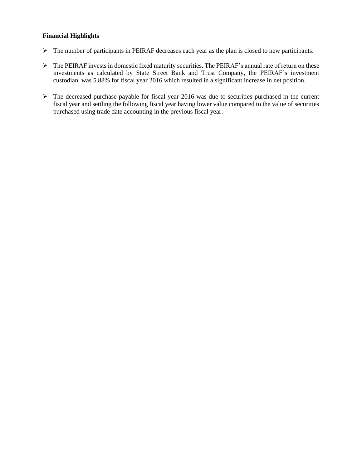## **Financial Highlights**

- The number of participants in PEIRAF decreases each year as the plan is closed to new participants.
- The PEIRAF invests in domestic fixed maturity securities. The PEIRAF's annual rate of return on these investments as calculated by State Street Bank and Trust Company, the PEIRAF's investment custodian, was 5.88% for fiscal year 2016 which resulted in a significant increase in net position.
- $\triangleright$  The decreased purchase payable for fiscal year 2016 was due to securities purchased in the current fiscal year and settling the following fiscal year having lower value compared to the value of securities purchased using trade date accounting in the previous fiscal year.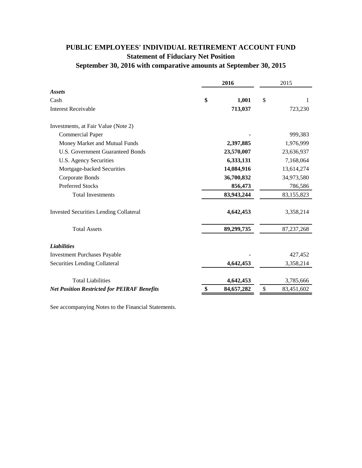## **PUBLIC EMPLOYEES' INDIVIDUAL RETIREMENT ACCOUNT FUND Statement of Fiduciary Net Position September 30, 2016 with comparative amounts at September 30, 2015**

|                                                    | 2016 |            | 2015 |              |
|----------------------------------------------------|------|------------|------|--------------|
| <b>Assets</b>                                      |      |            |      |              |
| Cash                                               | \$   | 1,001      | \$   | 1            |
| <b>Interest Receivable</b>                         |      | 713,037    |      | 723,230      |
| Investments, at Fair Value (Note 2)                |      |            |      |              |
| <b>Commercial Paper</b>                            |      |            |      | 999,383      |
| Money Market and Mutual Funds                      |      | 2,397,885  |      | 1,976,999    |
| <b>U.S. Government Guaranteed Bonds</b>            |      | 23,570,007 |      | 23,636,937   |
| U.S. Agency Securities                             |      | 6,333,131  |      | 7,168,064    |
| Mortgage-backed Securities                         |      | 14,084,916 |      | 13,614,274   |
| Corporate Bonds                                    |      | 36,700,832 |      | 34,973,580   |
| <b>Preferred Stocks</b>                            |      | 856,473    |      | 786,586      |
| <b>Total Investments</b>                           |      | 83,943,244 |      | 83,155,823   |
| <b>Invested Securities Lending Collateral</b>      |      | 4,642,453  |      | 3,358,214    |
| <b>Total Assets</b>                                |      | 89,299,735 |      | 87, 237, 268 |
| <b>Liabilities</b>                                 |      |            |      |              |
| <b>Investment Purchases Payable</b>                |      |            |      | 427,452      |
| Securities Lending Collateral                      |      | 4,642,453  |      | 3,358,214    |
| <b>Total Liabilities</b>                           |      | 4,642,453  |      | 3,785,666    |
| <b>Net Position Restricted for PEIRAF Benefits</b> | \$   | 84,657,282 | \$   | 83,451,602   |

See accompanying Notes to the Financial Statements.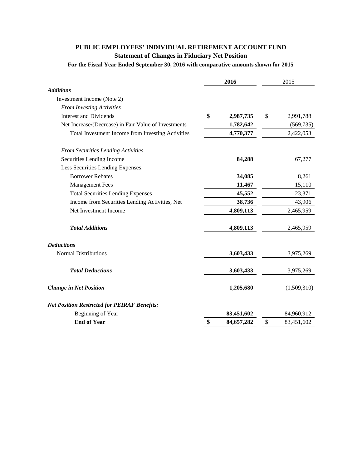## **PUBLIC EMPLOYEES' INDIVIDUAL RETIREMENT ACCOUNT FUND Statement of Changes in Fiduciary Net Position**

## **For the Fiscal Year Ended September 30, 2016 with comparative amounts shown for 2015**

| <b>Additions</b><br>Investment Income (Note 2)<br><b>From Investing Activities</b><br>\$<br><b>Interest and Dividends</b><br>2,987,735<br>\$<br>2,991,788<br>Net Increase/(Decrease) in Fair Value of Investments<br>1,782,642<br>4,770,377<br>Total Investment Income from Investing Activities<br>2,422,053<br><b>From Securities Lending Activities</b><br>67,277<br>Securities Lending Income<br>84,288<br>Less Securities Lending Expenses:<br><b>Borrower Rebates</b><br>8,261<br>34,085<br><b>Management Fees</b><br>11,467<br>15,110<br>45,552<br>23,371<br><b>Total Securities Lending Expenses</b><br>Income from Securities Lending Activities, Net<br>38,736<br>43,906<br>Net Investment Income<br>4,809,113<br>2,465,959<br><b>Total Additions</b><br>4,809,113<br>2,465,959<br><b>Deductions</b><br><b>Normal Distributions</b><br>3,603,433<br>3,975,269<br><b>Total Deductions</b><br>3,603,433<br>3,975,269<br>1,205,680<br>(1,509,310)<br><b>Change in Net Position</b><br><b>Net Position Restricted for PEIRAF Benefits:</b><br>Beginning of Year<br>83,451,602<br>84,960,912<br><b>End of Year</b><br>\$<br>84,657,282<br>\$<br>83,451,602 | 2016 |  | 2015 |            |
|-----------------------------------------------------------------------------------------------------------------------------------------------------------------------------------------------------------------------------------------------------------------------------------------------------------------------------------------------------------------------------------------------------------------------------------------------------------------------------------------------------------------------------------------------------------------------------------------------------------------------------------------------------------------------------------------------------------------------------------------------------------------------------------------------------------------------------------------------------------------------------------------------------------------------------------------------------------------------------------------------------------------------------------------------------------------------------------------------------------------------------------------------------------------|------|--|------|------------|
|                                                                                                                                                                                                                                                                                                                                                                                                                                                                                                                                                                                                                                                                                                                                                                                                                                                                                                                                                                                                                                                                                                                                                                 |      |  |      |            |
|                                                                                                                                                                                                                                                                                                                                                                                                                                                                                                                                                                                                                                                                                                                                                                                                                                                                                                                                                                                                                                                                                                                                                                 |      |  |      |            |
|                                                                                                                                                                                                                                                                                                                                                                                                                                                                                                                                                                                                                                                                                                                                                                                                                                                                                                                                                                                                                                                                                                                                                                 |      |  |      |            |
|                                                                                                                                                                                                                                                                                                                                                                                                                                                                                                                                                                                                                                                                                                                                                                                                                                                                                                                                                                                                                                                                                                                                                                 |      |  |      |            |
|                                                                                                                                                                                                                                                                                                                                                                                                                                                                                                                                                                                                                                                                                                                                                                                                                                                                                                                                                                                                                                                                                                                                                                 |      |  |      | (569, 735) |
|                                                                                                                                                                                                                                                                                                                                                                                                                                                                                                                                                                                                                                                                                                                                                                                                                                                                                                                                                                                                                                                                                                                                                                 |      |  |      |            |
|                                                                                                                                                                                                                                                                                                                                                                                                                                                                                                                                                                                                                                                                                                                                                                                                                                                                                                                                                                                                                                                                                                                                                                 |      |  |      |            |
|                                                                                                                                                                                                                                                                                                                                                                                                                                                                                                                                                                                                                                                                                                                                                                                                                                                                                                                                                                                                                                                                                                                                                                 |      |  |      |            |
|                                                                                                                                                                                                                                                                                                                                                                                                                                                                                                                                                                                                                                                                                                                                                                                                                                                                                                                                                                                                                                                                                                                                                                 |      |  |      |            |
|                                                                                                                                                                                                                                                                                                                                                                                                                                                                                                                                                                                                                                                                                                                                                                                                                                                                                                                                                                                                                                                                                                                                                                 |      |  |      |            |
|                                                                                                                                                                                                                                                                                                                                                                                                                                                                                                                                                                                                                                                                                                                                                                                                                                                                                                                                                                                                                                                                                                                                                                 |      |  |      |            |
|                                                                                                                                                                                                                                                                                                                                                                                                                                                                                                                                                                                                                                                                                                                                                                                                                                                                                                                                                                                                                                                                                                                                                                 |      |  |      |            |
|                                                                                                                                                                                                                                                                                                                                                                                                                                                                                                                                                                                                                                                                                                                                                                                                                                                                                                                                                                                                                                                                                                                                                                 |      |  |      |            |
|                                                                                                                                                                                                                                                                                                                                                                                                                                                                                                                                                                                                                                                                                                                                                                                                                                                                                                                                                                                                                                                                                                                                                                 |      |  |      |            |
|                                                                                                                                                                                                                                                                                                                                                                                                                                                                                                                                                                                                                                                                                                                                                                                                                                                                                                                                                                                                                                                                                                                                                                 |      |  |      |            |
|                                                                                                                                                                                                                                                                                                                                                                                                                                                                                                                                                                                                                                                                                                                                                                                                                                                                                                                                                                                                                                                                                                                                                                 |      |  |      |            |
|                                                                                                                                                                                                                                                                                                                                                                                                                                                                                                                                                                                                                                                                                                                                                                                                                                                                                                                                                                                                                                                                                                                                                                 |      |  |      |            |
|                                                                                                                                                                                                                                                                                                                                                                                                                                                                                                                                                                                                                                                                                                                                                                                                                                                                                                                                                                                                                                                                                                                                                                 |      |  |      |            |
|                                                                                                                                                                                                                                                                                                                                                                                                                                                                                                                                                                                                                                                                                                                                                                                                                                                                                                                                                                                                                                                                                                                                                                 |      |  |      |            |
|                                                                                                                                                                                                                                                                                                                                                                                                                                                                                                                                                                                                                                                                                                                                                                                                                                                                                                                                                                                                                                                                                                                                                                 |      |  |      |            |
|                                                                                                                                                                                                                                                                                                                                                                                                                                                                                                                                                                                                                                                                                                                                                                                                                                                                                                                                                                                                                                                                                                                                                                 |      |  |      |            |
|                                                                                                                                                                                                                                                                                                                                                                                                                                                                                                                                                                                                                                                                                                                                                                                                                                                                                                                                                                                                                                                                                                                                                                 |      |  |      |            |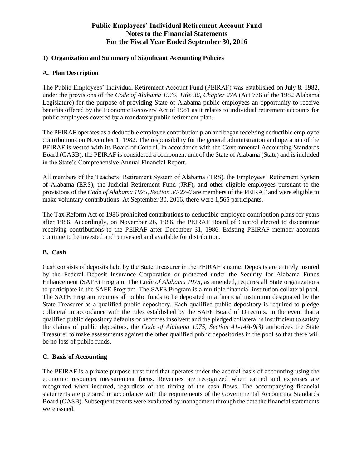## **1) Organization and Summary of Significant Accounting Policies**

## **A. Plan Description**

The Public Employees' Individual Retirement Account Fund (PEIRAF) was established on July 8, 1982, under the provisions of the *Code of Alabama 1975, Title 36, Chapter 27A* (Act 776 of the 1982 Alabama Legislature) for the purpose of providing State of Alabama public employees an opportunity to receive benefits offered by the Economic Recovery Act of 1981 as it relates to individual retirement accounts for public employees covered by a mandatory public retirement plan.

The PEIRAF operates as a deductible employee contribution plan and began receiving deductible employee contributions on November 1, 1982. The responsibility for the general administration and operation of the PEIRAF is vested with its Board of Control. In accordance with the Governmental Accounting Standards Board (GASB), the PEIRAF is considered a component unit of the State of Alabama (State) and is included in the State's Comprehensive Annual Financial Report.

All members of the Teachers' Retirement System of Alabama (TRS), the Employees' Retirement System of Alabama (ERS), the Judicial Retirement Fund (JRF), and other eligible employees pursuant to the provisions of the *Code of Alabama 1975, Section 36-27-6* are members of the PEIRAF and were eligible to make voluntary contributions. At September 30, 2016, there were 1,565 participants.

The Tax Reform Act of 1986 prohibited contributions to deductible employee contribution plans for years after 1986. Accordingly, on November 26, 1986, the PEIRAF Board of Control elected to discontinue receiving contributions to the PEIRAF after December 31, 1986. Existing PEIRAF member accounts continue to be invested and reinvested and available for distribution.

## **B. Cash**

Cash consists of deposits held by the State Treasurer in the PEIRAF's name. Deposits are entirely insured by the Federal Deposit Insurance Corporation or protected under the Security for Alabama Funds Enhancement (SAFE) Program. The *Code of Alabama 1975*, as amended, requires all State organizations to participate in the SAFE Program. The SAFE Program is a multiple financial institution collateral pool. The SAFE Program requires all public funds to be deposited in a financial institution designated by the State Treasurer as a qualified public depository. Each qualified public depository is required to pledge collateral in accordance with the rules established by the SAFE Board of Directors. In the event that a qualified public depository defaults or becomes insolvent and the pledged collateral is insufficient to satisfy the claims of public depositors, the *Code of Alabama 1975, Section 41-14A-9(3)* authorizes the State Treasurer to make assessments against the other qualified public depositories in the pool so that there will be no loss of public funds.

## **C. Basis of Accounting**

The PEIRAF is a private purpose trust fund that operates under the accrual basis of accounting using the economic resources measurement focus. Revenues are recognized when earned and expenses are recognized when incurred, regardless of the timing of the cash flows. The accompanying financial statements are prepared in accordance with the requirements of the Governmental Accounting Standards Board (GASB). Subsequent events were evaluated by management through the date the financial statements were issued.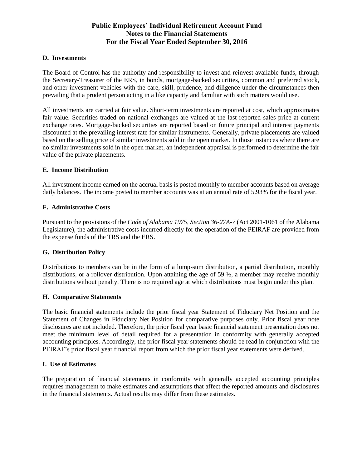#### **D. Investments**

The Board of Control has the authority and responsibility to invest and reinvest available funds, through the Secretary-Treasurer of the ERS, in bonds, mortgage-backed securities, common and preferred stock, and other investment vehicles with the care, skill, prudence, and diligence under the circumstances then prevailing that a prudent person acting in a like capacity and familiar with such matters would use.

All investments are carried at fair value. Short-term investments are reported at cost, which approximates fair value. Securities traded on national exchanges are valued at the last reported sales price at current exchange rates. Mortgage-backed securities are reported based on future principal and interest payments discounted at the prevailing interest rate for similar instruments. Generally, private placements are valued based on the selling price of similar investments sold in the open market. In those instances where there are no similar investments sold in the open market, an independent appraisal is performed to determine the fair value of the private placements.

#### **E. Income Distribution**

All investment income earned on the accrual basis is posted monthly to member accounts based on average daily balances. The income posted to member accounts was at an annual rate of 5.93% for the fiscal year.

#### **F. Administrative Costs**

Pursuant to the provisions of the *Code of Alabama 1975, Section 36-27A-7* (Act 2001-1061 of the Alabama Legislature), the administrative costs incurred directly for the operation of the PEIRAF are provided from the expense funds of the TRS and the ERS.

## **G. Distribution Policy**

Distributions to members can be in the form of a lump-sum distribution, a partial distribution, monthly distributions, or a rollover distribution. Upon attaining the age of 59  $\frac{1}{2}$ , a member may receive monthly distributions without penalty. There is no required age at which distributions must begin under this plan.

#### **H. Comparative Statements**

The basic financial statements include the prior fiscal year Statement of Fiduciary Net Position and the Statement of Changes in Fiduciary Net Position for comparative purposes only. Prior fiscal year note disclosures are not included. Therefore, the prior fiscal year basic financial statement presentation does not meet the minimum level of detail required for a presentation in conformity with generally accepted accounting principles. Accordingly, the prior fiscal year statements should be read in conjunction with the PEIRAF's prior fiscal year financial report from which the prior fiscal year statements were derived.

## **I. Use of Estimates**

The preparation of financial statements in conformity with generally accepted accounting principles requires management to make estimates and assumptions that affect the reported amounts and disclosures in the financial statements. Actual results may differ from these estimates.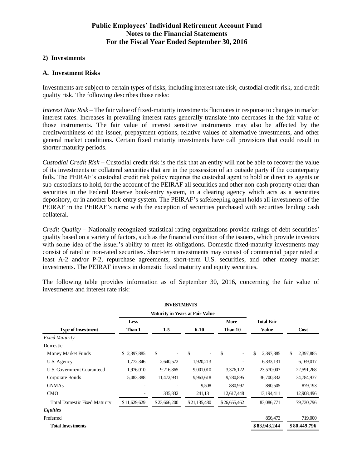#### **2) Investments**

## **A. Investment Risks**

Investments are subject to certain types of risks, including interest rate risk, custodial credit risk, and credit quality risk. The following describes those risks:

*Interest Rate Risk* – The fair value of fixed-maturity investments fluctuates in response to changes in market interest rates. Increases in prevailing interest rates generally translate into decreases in the fair value of those instruments. The fair value of interest sensitive instruments may also be affected by the creditworthiness of the issuer, prepayment options, relative values of alternative investments, and other general market conditions. Certain fixed maturity investments have call provisions that could result in shorter maturity periods.

*Custodial Credit Risk* – Custodial credit risk is the risk that an entity will not be able to recover the value of its investments or collateral securities that are in the possession of an outside party if the counterparty fails. The PEIRAF's custodial credit risk policy requires the custodial agent to hold or direct its agents or sub-custodians to hold, for the account of the PEIRAF all securities and other non-cash property other than securities in the Federal Reserve book-entry system, in a clearing agency which acts as a securities depository, or in another book-entry system. The PEIRAF's safekeeping agent holds all investments of the PEIRAF in the PEIRAF's name with the exception of securities purchased with securities lending cash collateral.

*Credit Quality* – Nationally recognized statistical rating organizations provide ratings of debt securities' quality based on a variety of factors, such as the financial condition of the issuers, which provide investors with some idea of the issuer's ability to meet its obligations. Domestic fixed-maturity investments may consist of rated or non-rated securities. Short-term investments may consist of commercial paper rated at least A-2 and/or P-2, repurchase agreements, short-term U.S. securities, and other money market investments. The PEIRAF invests in domestic fixed maturity and equity securities.

The following table provides information as of September 30, 2016, concerning the fair value of investments and interest rate risk:

|                                      |              | <b>INVESTMENTS</b>                     |              |              |                   |                 |
|--------------------------------------|--------------|----------------------------------------|--------------|--------------|-------------------|-----------------|
|                                      |              | <b>Maturity in Years at Fair Value</b> |              |              |                   |                 |
|                                      | <b>Less</b>  |                                        |              | <b>More</b>  | <b>Total Fair</b> |                 |
| <b>Type of Investment</b>            | Than 1       | $1-5$                                  | $6 - 10$     | Than 10      | <b>Value</b>      | Cost            |
| <b>Fixed Maturity</b>                |              |                                        |              |              |                   |                 |
| Domestic                             |              |                                        |              |              |                   |                 |
| Money Market Funds                   | \$2,397,885  | \$                                     | \$           | \$           | \$<br>2,397,885   | 2,397,885<br>\$ |
| U.S. Agency                          | 1,772,346    | 2,640,572                              | 1,920,213    |              | 6,333,131         | 6,169,017       |
| U.S. Government Guaranteed           | 1,976,010    | 9,216,865                              | 9,001,010    | 3,376,122    | 23,570,007        | 22,591,268      |
| Corporate Bonds                      | 5,483,388    | 11,472,931                             | 9,963,618    | 9,780,895    | 36,700,832        | 34,784,937      |
| <b>GNMAs</b>                         | -            |                                        | 9,508        | 880,997      | 890,505           | 879,193         |
| <b>CMO</b>                           |              | 335,832                                | 241,131      | 12,617,448   | 13,194,411        | 12,908,496      |
| <b>Total Domestic Fixed Maturity</b> | \$11,629,629 | \$23,666,200                           | \$21,135,480 | \$26,655,462 | 83,086,771        | 79,730,796      |
| <b>Equities</b>                      |              |                                        |              |              |                   |                 |
| Preferred                            |              |                                        |              |              | 856,473           | 719,000         |
| <b>Total Investments</b>             |              |                                        |              |              | \$83,943,244      | \$80,449,796    |
|                                      |              |                                        |              |              |                   |                 |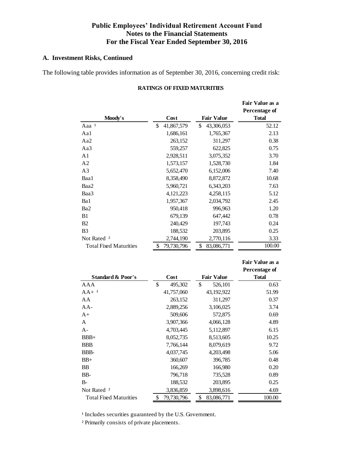## **A. Investment Risks, Continued**

The following table provides information as of September 30, 2016, concerning credit risk:

|                               |                  |                   | Fair Value as a |
|-------------------------------|------------------|-------------------|-----------------|
|                               |                  |                   | Percentage of   |
| Moody's                       | Cost             | <b>Fair Value</b> | <b>Total</b>    |
| Aaa <sup>1</sup>              | \$<br>41,867,579 | \$<br>43,306,053  | 52.12           |
| Aa1                           | 1,686,161        | 1,765,367         | 2.13            |
| Aa2                           | 263,152          | 311,297           | 0.38            |
| Aa3                           | 559,257          | 622,825           | 0.75            |
| A <sub>1</sub>                | 2,928,511        | 3,075,352         | 3.70            |
| A <sub>2</sub>                | 1,573,157        | 1,528,730         | 1.84            |
| A <sub>3</sub>                | 5,652,470        | 6,152,006         | 7.40            |
| Baa1                          | 8,358,490        | 8,872,872         | 10.68           |
| Baa2                          | 5,960,721        | 6,343,203         | 7.63            |
| Baa3                          | 4, 121, 223      | 4,258,115         | 5.12            |
| Ba1                           | 1,957,367        | 2,034,792         | 2.45            |
| Ba <sub>2</sub>               | 950,418          | 996,963           | 1.20            |
| B1                            | 679,139          | 647,442           | 0.78            |
| B2                            | 240,429          | 197,743           | 0.24            |
| B <sub>3</sub>                | 188,532          | 203,895           | 0.25            |
| Not Rated <sup>2</sup>        | 2,744,190        | 2,770,116         | 3.33            |
| <b>Total Fixed Maturities</b> | \$<br>79,730,796 | \$<br>83,086,771  | 100.00          |

#### **RATINGS OF FIXED MATURITIES**

|                               |                  |                   | Percentage of |
|-------------------------------|------------------|-------------------|---------------|
| <b>Standard &amp; Poor's</b>  | Cost             | <b>Fair Value</b> | <b>Total</b>  |
| AAA                           | \$<br>495,302    | \$<br>526,101     | 0.63          |
| $AA+1$                        | 41,757,060       | 43,192,922        | 51.99         |
| AA                            | 263,152          | 311,297           | 0.37          |
| $AA -$                        | 2,889,256        | 3,106,025         | 3.74          |
| $A+$                          | 509,606          | 572,875           | 0.69          |
| A                             | 3,907,366        | 4,066,128         | 4.89          |
| $A -$                         | 4,703,445        | 5,112,897         | 6.15          |
| $BBB+$                        | 8,052,735        | 8,513,605         | 10.25         |
| <b>BBB</b>                    | 7,766,144        | 8,079,619         | 9.72          |
| BBB-                          | 4,037,745        | 4,203,498         | 5.06          |
| $BB+$                         | 360,607          | 396,785           | 0.48          |
| <b>BB</b>                     | 166,269          | 166,980           | 0.20          |
| BB-                           | 796,718          | 735,528           | 0.89          |
| $B -$                         | 188,532          | 203,895           | 0.25          |
| Not Rated <sup>2</sup>        | 3,836,859        | 3,898,616         | 4.69          |
| <b>Total Fixed Maturities</b> | \$<br>79,730,796 | \$<br>83,086,771  | 100.00        |
|                               |                  |                   |               |

 **Fair Value as a** 

<sup>1</sup> Includes securities guaranteed by the U.S. Government.

² Primarily consists of private placements.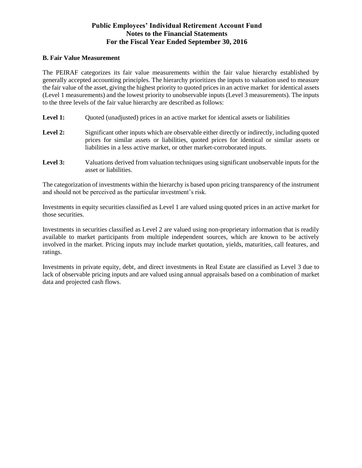#### **B. Fair Value Measurement**

The PEIRAF categorizes its fair value measurements within the fair value hierarchy established by generally accepted accounting principles. The hierarchy prioritizes the inputs to valuation used to measure the fair value of the asset, giving the highest priority to quoted prices in an active market for identical assets (Level 1 measurements) and the lowest priority to unobservable inputs (Level 3 measurements). The inputs to the three levels of the fair value hierarchy are described as follows:

- **Level 1:** Ouoted (unadjusted) prices in an active market for identical assets or liabilities
- Level 2: Significant other inputs which are observable either directly or indirectly, including quoted prices for similar assets or liabilities, quoted prices for identical or similar assets or liabilities in a less active market, or other market-corroborated inputs.
- **Level 3:** Valuations derived from valuation techniques using significant unobservable inputs for the asset or liabilities.

The categorization of investments within the hierarchy is based upon pricing transparency of the instrument and should not be perceived as the particular investment's risk.

Investments in equity securities classified as Level 1 are valued using quoted prices in an active market for those securities.

Investments in securities classified as Level 2 are valued using non-proprietary information that is readily available to market participants from multiple independent sources, which are known to be actively involved in the market. Pricing inputs may include market quotation, yields, maturities, call features, and ratings.

Investments in private equity, debt, and direct investments in Real Estate are classified as Level 3 due to lack of observable pricing inputs and are valued using annual appraisals based on a combination of market data and projected cash flows.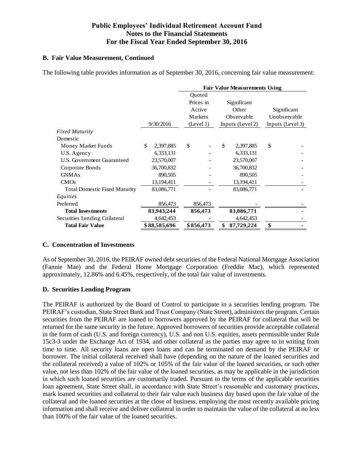## **B. Fair Value Measurement, Continued**

The following table provides information as of September 30, 2016, concerning fair value measurement:

|                                      |                 | <b>Fair Value Measurements Using</b> |                  |                  |  |  |
|--------------------------------------|-----------------|--------------------------------------|------------------|------------------|--|--|
|                                      |                 | Quoted                               |                  |                  |  |  |
|                                      |                 | Prices in                            | Significant      |                  |  |  |
|                                      |                 | Active                               | Other            | Significant      |  |  |
|                                      |                 | Markets                              | Observable       | Unobservable     |  |  |
|                                      | 9/30/2016       | (Level 1)                            | Inputs (Level 2) | Inputs (Level 3) |  |  |
| <b>Fixed Maturity</b>                |                 |                                      |                  |                  |  |  |
| Domestic                             |                 |                                      |                  |                  |  |  |
| Money Market Funds                   | \$<br>2,397,885 | \$                                   | \$<br>2,397,885  | \$               |  |  |
| U.S. Agency                          | 6,333,131       |                                      | 6,333,131        |                  |  |  |
| U.S. Government Guaranteed           | 23,570,007      |                                      | 23,570,007       |                  |  |  |
| Corporate Bonds                      | 36,700,832      |                                      | 36,700,832       |                  |  |  |
| <b>GNMAs</b>                         | 890,505         |                                      | 890,505          |                  |  |  |
| CMOs                                 | 13, 194, 411    |                                      | 13, 194, 411     |                  |  |  |
| <b>Total Domestic Fixed Maturity</b> | 83,086,771      |                                      | 83,086,771       |                  |  |  |
| Equities                             |                 |                                      |                  |                  |  |  |
| Preferred                            | 856,473         | 856,473                              |                  |                  |  |  |
| <b>Total Investments</b>             | 83,943,244      | 856,473                              | 83,086,771       |                  |  |  |
| Securities Lending Collateral        | 4,642,453       |                                      | 4,642,453        |                  |  |  |
| <b>Total Fair Value</b>              | \$88,585,696    | \$856,473                            | 87,729,224       | \$               |  |  |

## **C. Concentration of Investments**

As of September 30, 2016, the PEIRAF owned debt securities of the Federal National Mortgage Association (Fannie Mae) and the Federal Home Mortgage Corporation (Freddie Mac), which represented approximately, 12.86% and 6.45%, respectively, of the total fair value of investments.

## **D. Securities Lending Program**

The PEIRAF is authorized by the Board of Control to participate in a securities lending program. The PEIRAF's custodian, State Street Bank and Trust Company (State Street), administers the program. Certain securities from the PEIRAF are loaned to borrowers approved by the PEIRAF for collateral that will be returned for the same security in the future. Approved borrowers of securities provide acceptable collateral in the form of cash (U.S. and foreign currency), U.S. and non U.S. equities, assets permissible under Rule 15c3-3 under the Exchange Act of 1934, and other collateral as the parties may agree to in writing from time to time. All security loans are open loans and can be terminated on demand by the PEIRAF or borrower. The initial collateral received shall have (depending on the nature of the loaned securities and the collateral received) a value of 102% or 105% of the fair value of the loaned securities, or such other value, not less than 102% of the fair value of the loaned securities, as may be applicable in the jurisdiction in which such loaned securities are customarily traded. Pursuant to the terms of the applicable securities loan agreement, State Street shall, in accordance with State Street's reasonable and customary practices, mark loaned securities and collateral to their fair value each business day based upon the fair value of the collateral and the loaned securities at the close of business, employing the most recently available pricing information and shall receive and deliver collateral in order to maintain the value of the collateral at no less than 100% of the fair value of the loaned securities.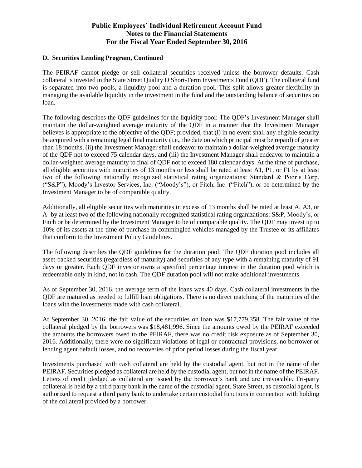## **D. Securities Lending Program, Continued**

The PEIRAF cannot pledge or sell collateral securities received unless the borrower defaults. Cash collateral is invested in the State Street Quality D Short-Term Investments Fund (QDF). The collateral fund is separated into two pools, a liquidity pool and a duration pool. This split allows greater flexibility in managing the available liquidity in the investment in the fund and the outstanding balance of securities on loan.

The following describes the QDF guidelines for the liquidity pool: The QDF's Investment Manager shall maintain the dollar-weighted average maturity of the QDF in a manner that the Investment Manager believes is appropriate to the objective of the QDF; provided, that (i) in no event shall any eligible security be acquired with a remaining legal final maturity (i.e., the date on which principal must be repaid) of greater than 18 months, (ii) the Investment Manager shall endeavor to maintain a dollar-weighted average maturity of the QDF not to exceed 75 calendar days, and (iii) the Investment Manager shall endeavor to maintain a dollar-weighted average maturity to final of QDF not to exceed 180 calendar days. At the time of purchase, all eligible securities with maturities of 13 months or less shall be rated at least A1, P1, or F1 by at least two of the following nationally recognized statistical rating organizations: Standard & Poor's Corp. ("S&P"), Moody's Investor Services, Inc. ("Moody's"), or Fitch, Inc. ("Fitch"), or be determined by the Investment Manager to be of comparable quality.

Additionally, all eligible securities with maturities in excess of 13 months shall be rated at least A, A3, or A- by at least two of the following nationally recognized statistical rating organizations: S&P, Moody's, or Fitch or be determined by the Investment Manager to be of comparable quality. The QDF may invest up to 10% of its assets at the time of purchase in commingled vehicles managed by the Trustee or its affiliates that conform to the Investment Policy Guidelines.

The following describes the QDF guidelines for the duration pool: The QDF duration pool includes all asset-backed securities (regardless of maturity) and securities of any type with a remaining maturity of 91 days or greater. Each QDF investor owns a specified percentage interest in the duration pool which is redeemable only in kind, not in cash. The QDF duration pool will not make additional investments.

As of September 30, 2016, the average term of the loans was 40 days. Cash collateral investments in the QDF are matured as needed to fulfill loan obligations. There is no direct matching of the maturities of the loans with the investments made with cash collateral.

At September 30, 2016, the fair value of the securities on loan was \$17,779,358. The fair value of the collateral pledged by the borrowers was \$18,481,996. Since the amounts owed by the PEIRAF exceeded the amounts the borrowers owed to the PEIRAF, there was no credit risk exposure as of September 30, 2016. Additionally, there were no significant violations of legal or contractual provisions, no borrower or lending agent default losses, and no recoveries of prior period losses during the fiscal year.

Investments purchased with cash collateral are held by the custodial agent, but not in the name of the PEIRAF. Securities pledged as collateral are held by the custodial agent, but not in the name of the PEIRAF. Letters of credit pledged as collateral are issued by the borrower's bank and are irrevocable. Tri-party collateral is held by a third party bank in the name of the custodial agent. State Street, as custodial agent, is authorized to request a third party bank to undertake certain custodial functions in connection with holding of the collateral provided by a borrower.